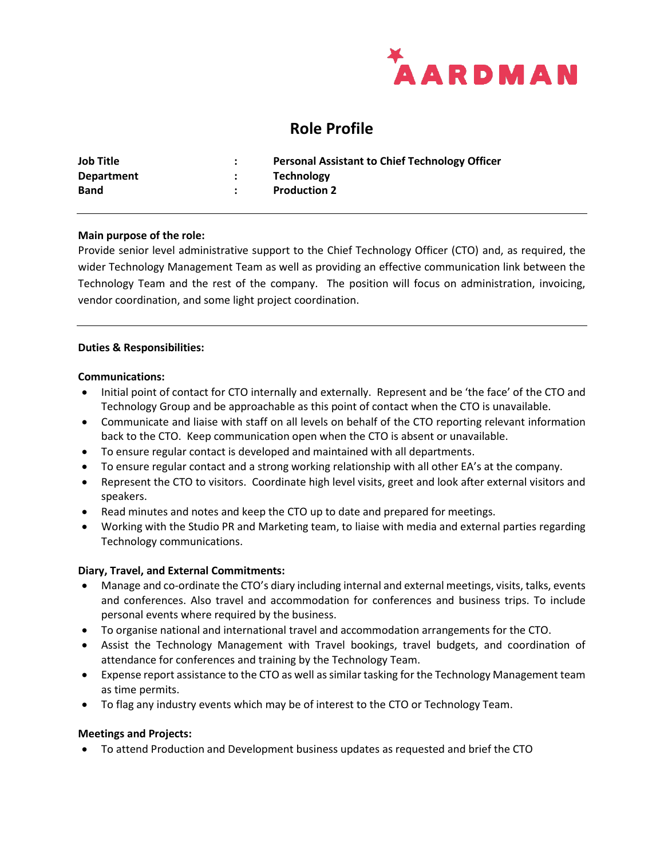

# **Role Profile**

| <b>Job Title</b> | <b>Personal Assistant to Chief Technology Officer</b> |
|------------------|-------------------------------------------------------|
| Department       | <b>Technology</b>                                     |
| <b>Band</b>      | <b>Production 2</b>                                   |

### **Main purpose of the role:**

Provide senior level administrative support to the Chief Technology Officer (CTO) and, as required, the wider Technology Management Team as well as providing an effective communication link between the Technology Team and the rest of the company. The position will focus on administration, invoicing, vendor coordination, and some light project coordination.

#### **Duties & Responsibilities:**

#### **Communications:**

- Initial point of contact for CTO internally and externally. Represent and be 'the face' of the CTO and Technology Group and be approachable as this point of contact when the CTO is unavailable.
- Communicate and liaise with staff on all levels on behalf of the CTO reporting relevant information back to the CTO. Keep communication open when the CTO is absent or unavailable.
- To ensure regular contact is developed and maintained with all departments.
- To ensure regular contact and a strong working relationship with all other EA's at the company.
- Represent the CTO to visitors. Coordinate high level visits, greet and look after external visitors and speakers.
- Read minutes and notes and keep the CTO up to date and prepared for meetings.
- Working with the Studio PR and Marketing team, to liaise with media and external parties regarding Technology communications.

### **Diary, Travel, and External Commitments:**

- Manage and co-ordinate the CTO's diary including internal and external meetings, visits, talks, events and conferences. Also travel and accommodation for conferences and business trips. To include personal events where required by the business.
- To organise national and international travel and accommodation arrangements for the CTO.
- Assist the Technology Management with Travel bookings, travel budgets, and coordination of attendance for conferences and training by the Technology Team.
- Expense report assistance to the CTO as well as similar tasking for the Technology Management team as time permits.
- To flag any industry events which may be of interest to the CTO or Technology Team.

### **Meetings and Projects:**

• To attend Production and Development business updates as requested and brief the CTO